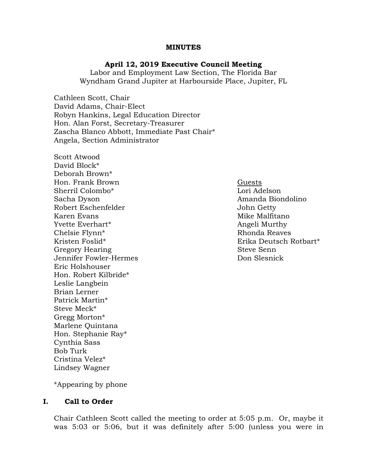#### **MINUTES**

#### **April 12, 2019 Executive Council Meeting**

Labor and Employment Law Section, The Florida Bar Wyndham Grand Jupiter at Harbourside Place, Jupiter, FL

Cathleen Scott, Chair David Adams, Chair-Elect Robyn Hankins, Legal Education Director Hon. Alan Forst, Secretary-Treasurer Zascha Blanco Abbott, Immediate Past Chair\* Angela, Section Administrator

Scott Atwood David Block\* Deborah Brown\* Hon. Frank Brown Guests Sherril Colombo\* Lori Adelson Sacha Dyson **Amanda Biondolino** Robert Eschenfelder **John Getty** Karen Evans Mike Malfitano (Karen Evans Mike Malfitano Mike Malfitano Mike Malfitano Mike Malfitano Mike M Yvette Everhart\* and a state of the Angeli Murthy Chelsie Flynn<sup>\*</sup> 2008 and 2008 and 2008 and 2008 and 2008 and 2008 and 2008 and 2008 and 2008 and 2008 and 2008 and 2008 and 2008 and 2008 and 2008 and 2008 and 2008 and 2008 and 2008 and 2008 and 2008 and 2008 and 2008 an Kristen Foslid\* Erika Deutsch Rotbart\* Gregory Hearing Steve Senn Jennifer Fowler-Hermes Don Slesnick Eric Holshouser Hon. Robert Kilbride\* Leslie Langbein Brian Lerner Patrick Martin\* Steve Meck\* Gregg Morton\* Marlene Quintana Hon. Stephanie Ray\* Cynthia Sass Bob Turk Cristina Velez\* Lindsey Wagner

\*Appearing by phone

### **I. Call to Order**

Chair Cathleen Scott called the meeting to order at 5:05 p.m. Or, maybe it was 5:03 or 5:06, but it was definitely after 5:00 (unless you were in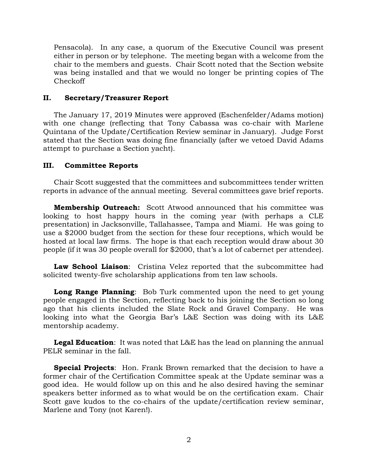Pensacola). In any case, a quorum of the Executive Council was present either in person or by telephone. The meeting began with a welcome from the chair to the members and guests. Chair Scott noted that the Section website was being installed and that we would no longer be printing copies of The Checkoff

### **II. Secretary/Treasurer Report**

The January 17, 2019 Minutes were approved (Eschenfelder/Adams motion) with one change (reflecting that Tony Cabassa was co-chair with Marlene Quintana of the Update/Certification Review seminar in January). Judge Forst stated that the Section was doing fine financially (after we vetoed David Adams attempt to purchase a Section yacht).

#### **III. Committee Reports**

Chair Scott suggested that the committees and subcommittees tender written reports in advance of the annual meeting. Several committees gave brief reports.

**Membership Outreach:** Scott Atwood announced that his committee was looking to host happy hours in the coming year (with perhaps a CLE presentation) in Jacksonville, Tallahassee, Tampa and Miami. He was going to use a \$2000 budget from the section for these four receptions, which would be hosted at local law firms. The hope is that each reception would draw about 30 people (if it was 30 people overall for \$2000, that's a lot of cabernet per attendee).

**Law School Liaison**: Cristina Velez reported that the subcommittee had solicited twenty-five scholarship applications from ten law schools.

**Long Range Planning**: Bob Turk commented upon the need to get young people engaged in the Section, reflecting back to his joining the Section so long ago that his clients included the Slate Rock and Gravel Company. He was looking into what the Georgia Bar's L&E Section was doing with its L&E mentorship academy.

**Legal Education**: It was noted that L&E has the lead on planning the annual PELR seminar in the fall.

**Special Projects**: Hon. Frank Brown remarked that the decision to have a former chair of the Certification Committee speak at the Update seminar was a good idea. He would follow up on this and he also desired having the seminar speakers better informed as to what would be on the certification exam. Chair Scott gave kudos to the co-chairs of the update/certification review seminar, Marlene and Tony (not Karen!).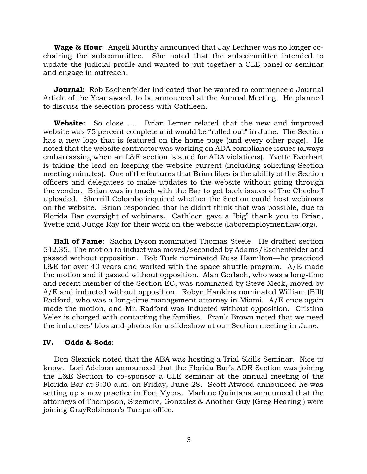**Wage & Hour**: Angeli Murthy announced that Jay Lechner was no longer cochairing the subcommittee. She noted that the subcommittee intended to update the judicial profile and wanted to put together a CLE panel or seminar and engage in outreach.

**Journal:** Rob Eschenfelder indicated that he wanted to commence a Journal Article of the Year award, to be announced at the Annual Meeting. He planned to discuss the selection process with Cathleen.

**Website:** So close …. Brian Lerner related that the new and improved website was 75 percent complete and would be "rolled out" in June. The Section has a new logo that is featured on the home page (and every other page). He noted that the website contractor was working on ADA compliance issues (always embarrassing when an L&E section is sued for ADA violations). Yvette Everhart is taking the lead on keeping the website current (including soliciting Section meeting minutes). One of the features that Brian likes is the ability of the Section officers and delegatees to make updates to the website without going through the vendor. Brian was in touch with the Bar to get back issues of The Checkoff uploaded. Sherrill Colombo inquired whether the Section could host webinars on the website. Brian responded that he didn't think that was possible, due to Florida Bar oversight of webinars. Cathleen gave a "big" thank you to Brian, Yvette and Judge Ray for their work on the website (laboremploymentlaw.org).

**Hall of Fame**: Sacha Dyson nominated Thomas Steele. He drafted section 542.35. The motion to induct was moved/seconded by Adams/Eschenfelder and passed without opposition. Bob Turk nominated Russ Hamilton—he practiced L&E for over 40 years and worked with the space shuttle program. A/E made the motion and it passed without opposition. Alan Gerlach, who was a long-time and recent member of the Section EC, was nominated by Steve Meck, moved by A/E and inducted without opposition. Robyn Hankins nominated William (Bill) Radford, who was a long-time management attorney in Miami. A/E once again made the motion, and Mr. Radford was inducted without opposition. Cristina Velez is charged with contacting the families. Frank Brown noted that we need the inductees' bios and photos for a slideshow at our Section meeting in June.

#### **IV. Odds & Sods**:

Don Sleznick noted that the ABA was hosting a Trial Skills Seminar. Nice to know. Lori Adelson announced that the Florida Bar's ADR Section was joining the L&E Section to co-sponsor a CLE seminar at the annual meeting of the Florida Bar at 9:00 a.m. on Friday, June 28. Scott Atwood announced he was setting up a new practice in Fort Myers. Marlene Quintana announced that the attorneys of Thompson, Sizemore, Gonzalez & Another Guy (Greg Hearing!) were joining GrayRobinson's Tampa office.